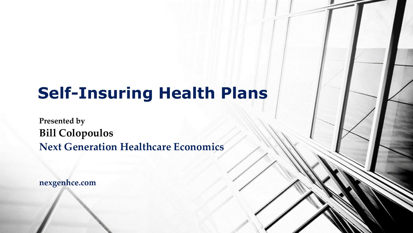# **Self-Insuring Health Plans**

**Presented by Bill Colopoulos Next Generation Healthcare Economics**

**nexgenhce.com**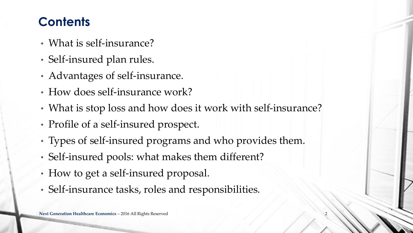### **Contents**

- What is self-insurance?
- Self-insured plan rules.
- Advantages of self-insurance.
- How does self-insurance work?
- What is stop loss and how does it work with self-insurance?
- Profile of a self-insured prospect.
- Types of self-insured programs and who provides them.
- Self-insured pools: what makes them different?
- How to get a self-insured proposal.
- Self-insurance tasks, roles and responsibilities.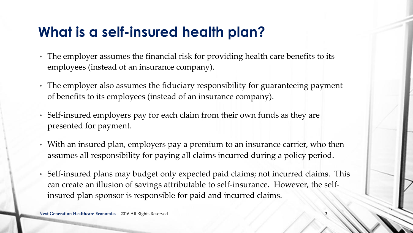# **What is a self-insured health plan?**

- The employer assumes the financial risk for providing health care benefits to its employees (instead of an insurance company).
- The employer also assumes the fiduciary responsibility for guaranteeing payment of benefits to its employees (instead of an insurance company).
- Self-insured employers pay for each claim from their own funds as they are presented for payment.
- With an insured plan, employers pay a premium to an insurance carrier, who then assumes all responsibility for paying all claims incurred during a policy period.
- Self-insured plans may budget only expected paid claims; not incurred claims. This can create an illusion of savings attributable to self-insurance. However, the selfinsured plan sponsor is responsible for paid and incurred claims.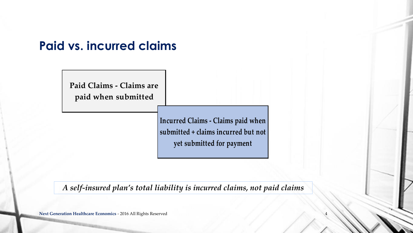### **Paid vs. incurred claims**

**Paid Claims - Claims are paid when submitted**

> **Incurred Claims - Claims paid when submitted + claims incurred but not yet submitted for payment**

> > 4

*A self-insured plan's total liability is incurred claims, not paid claims*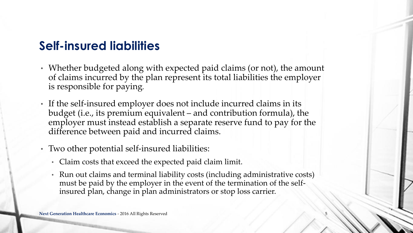### **Self-insured liabilities**

- Whether budgeted along with expected paid claims (or not), the amount of claims incurred by the plan represent its total liabilities the employer is responsible for paying*.*
- If the self-insured employer does not include incurred claims in its budget (i.e., its premium equivalent – and contribution formula), the employer must instead establish a separate reserve fund to pay for the difference between paid and incurred claims.
- Two other potential self-insured liabilities:
	- Claim costs that exceed the expected paid claim limit.
	- Run out claims and terminal liability costs (including administrative costs) must be paid by the employer in the event of the termination of the selfinsured plan, change in plan administrators or stop loss carrier.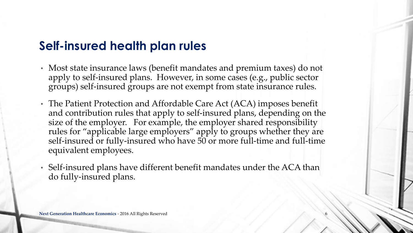### **Self-insured health plan rules**

- Most state insurance laws (benefit mandates and premium taxes) do not apply to self-insured plans. However, in some cases (e.g., public sector groups) self-insured groups are not exempt from state insurance rules.
- The Patient Protection and Affordable Care Act (ACA) imposes benefit and contribution rules that apply to self-insured plans, depending on the size of the employer. For example, the employer shared responsibility rules for "applicable large employers" apply to groups whether they are self-insured or fully-insured who have 50 or more full-time and full-time equivalent employees.
- Self-insured plans have different benefit mandates under the ACA than do fully-insured plans.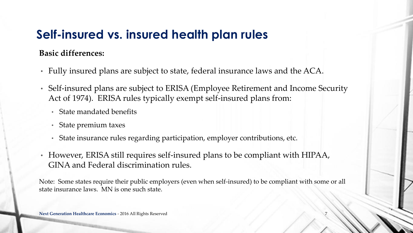#### **Basic differences:**

- Fully insured plans are subject to state, federal insurance laws and the ACA.
- Self-insured plans are subject to ERISA (Employee Retirement and Income Security Act of 1974). ERISA rules typically exempt self-insured plans from:
	- State mandated benefits
	- State premium taxes
	- State insurance rules regarding participation, employer contributions, etc.
- However, ERISA still requires self-insured plans to be compliant with HIPAA, GINA and Federal discrimination rules.

Note: Some states require their public employers (even when self-insured) to be compliant with some or all state insurance laws. MN is one such state.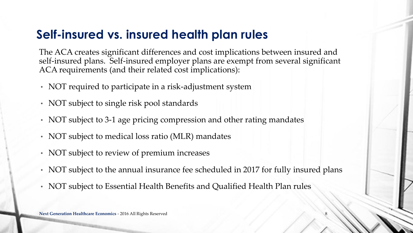The ACA creates significant differences and cost implications between insured and self-insured plans. Self-insured employer plans are exempt from several significant ACA requirements (and their related cost implications):

- NOT required to participate in a risk-adjustment system
- NOT subject to single risk pool standards
- NOT subject to 3-1 age pricing compression and other rating mandates
- NOT subject to medical loss ratio (MLR) mandates
- NOT subject to review of premium increases
- NOT subject to the annual insurance fee scheduled in 2017 for fully insured plans
- NOT subject to Essential Health Benefits and Qualified Health Plan rules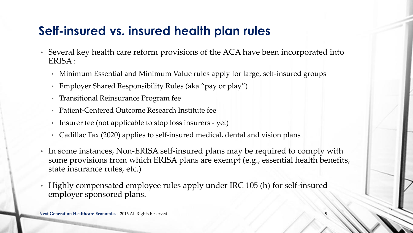- Several key health care reform provisions of the ACA have been incorporated into ERISA :
	- Minimum Essential and Minimum Value rules apply for large, self-insured groups
	- Employer Shared Responsibility Rules (aka "pay or play")
	- Transitional Reinsurance Program fee
	- Patient-Centered Outcome Research Institute fee
	- Insurer fee (not applicable to stop loss insurers yet)
	- Cadillac Tax (2020) applies to self-insured medical, dental and vision plans
- In some instances, Non-ERISA self-insured plans may be required to comply with some provisions from which ERISA plans are exempt (e.g., essential health benefits, state insurance rules, etc.)
- Highly compensated employee rules apply under IRC 105 (h) for self-insured employer sponsored plans.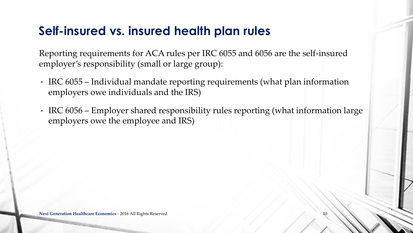Reporting requirements for ACA rules per IRC 6055 and 6056 are the self-insured employer's responsibility (small or large group):

- IRC 6055 Individual mandate reporting requirements (what plan information employers owe individuals and the IRS)
- IRC 6056 Employer shared responsibility rules reporting (what information large employers owe the employee and IRS)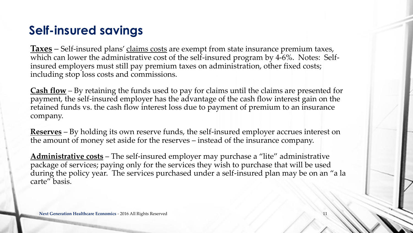### **Self-insured savings**

**Taxes** – Self-insured plans' claims costs are exempt from state insurance premium taxes, which can lower the administrative cost of the self-insured program by 4-6%. Notes: Selfinsured employers must still pay premium taxes on administration, other fixed costs; including stop loss costs and commissions.

**Cash flow** – By retaining the funds used to pay for claims until the claims are presented for payment, the self-insured employer has the advantage of the cash flow interest gain on the retained funds vs. the cash flow interest loss due to payment of premium to an insurance company.

**Reserves** – By holding its own reserve funds, the self-insured employer accrues interest on the amount of money set aside for the reserves – instead of the insurance company.

**Administrative costs** – The self-insured employer may purchase a "lite" administrative package of services; paying only for the services they wish to purchase that will be used during the policy year. The services purchased under a self-insured plan may be on an "a la carte" basis.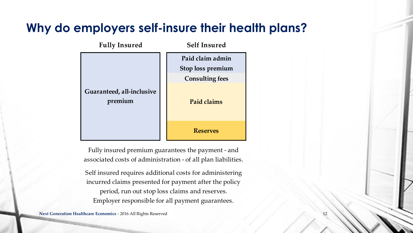### **Why do employers self-insure their health plans?**

| <b>Fully Insured</b>                 | <b>Self Insured</b>    |  |  |
|--------------------------------------|------------------------|--|--|
| Guaranteed, all-inclusive<br>premium | Paid claim admin       |  |  |
|                                      | Stop loss premium      |  |  |
|                                      | <b>Consulting fees</b> |  |  |
|                                      | Paid claims            |  |  |
|                                      | <b>Reserves</b>        |  |  |

Fully insured premium guarantees the payment - and associated costs of administration - of all plan liabilities.

Self insured requires additional costs for administering incurred claims presented for payment after the policy period, run out stop loss claims and reserves. Employer responsible for all payment guarantees.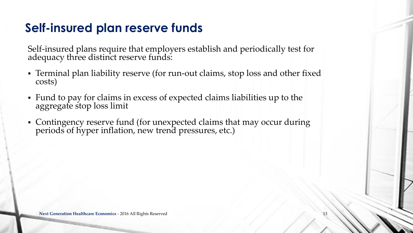### **Self-insured plan reserve funds**

Self-insured plans require that employers establish and periodically test for adequacy three distinct reserve funds:

- Terminal plan liability reserve (for run-out claims, stop loss and other fixed costs)
- Fund to pay for claims in excess of expected claims liabilities up to the aggregate stop loss limit
- Contingency reserve fund (for unexpected claims that may occur during periods of hyper inflation, new trend pressures, etc.)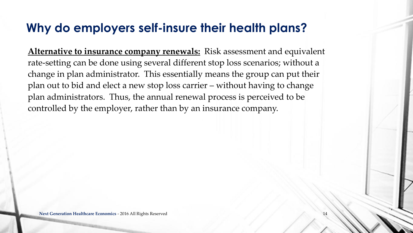### **Why do employers self-insure their health plans?**

**Alternative to insurance company renewals:** Risk assessment and equivalent rate-setting can be done using several different stop loss scenarios; without a change in plan administrator. This essentially means the group can put their plan out to bid and elect a new stop loss carrier – without having to change plan administrators. Thus, the annual renewal process is perceived to be controlled by the employer, rather than by an insurance company.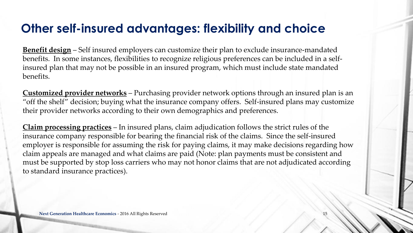### **Other self-insured advantages: flexibility and choice**

**Benefit design** – Self insured employers can customize their plan to exclude insurance-mandated benefits. In some instances, flexibilities to recognize religious preferences can be included in a selfinsured plan that may not be possible in an insured program, which must include state mandated benefits.

**Customized provider networks** – Purchasing provider network options through an insured plan is an "off the shelf" decision; buying what the insurance company offers. Self-insured plans may customize their provider networks according to their own demographics and preferences.

**Claim processing practices** – In insured plans, claim adjudication follows the strict rules of the insurance company responsible for bearing the financial risk of the claims. Since the self-insured employer is responsible for assuming the risk for paying claims, it may make decisions regarding how claim appeals are managed and what claims are paid (Note: plan payments must be consistent and must be supported by stop loss carriers who may not honor claims that are not adjudicated according to standard insurance practices).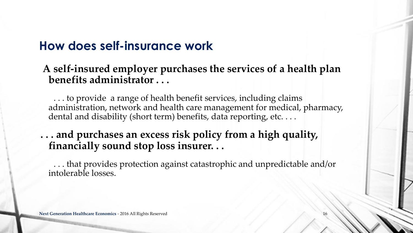### **How does self-insurance work**

### **A self-insured employer purchases the services of a health plan benefits administrator . . .**

. . . to provide a range of health benefit services, including claims administration, network and health care management for medical, pharmacy, dental and disability (short term) benefits, data reporting, etc. . . .

### **. . . and purchases an excess risk policy from a high quality, financially sound stop loss insurer. . .**

. . . that provides protection against catastrophic and unpredictable and/or intolerable losses.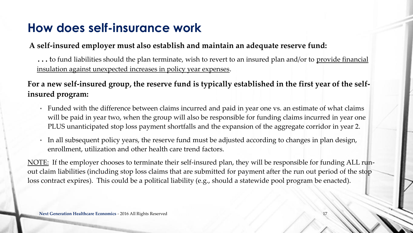### **How does self-insurance work**

#### **A self-insured employer must also establish and maintain an adequate reserve fund:**

**. . .** to fund liabilities should the plan terminate, wish to revert to an insured plan and/or to provide financial insulation against unexpected increases in policy year expenses.

**For a new self-insured group, the reserve fund is typically established in the first year of the selfinsured program:**

- Funded with the difference between claims incurred and paid in year one vs. an estimate of what claims will be paid in year two, when the group will also be responsible for funding claims incurred in year one PLUS unanticipated stop loss payment shortfalls and the expansion of the aggregate corridor in year 2.
- In all subsequent policy years, the reserve fund must be adjusted according to changes in plan design, enrollment, utilization and other health care trend factors.

NOTE: If the employer chooses to terminate their self-insured plan, they will be responsible for funding ALL runout claim liabilities (including stop loss claims that are submitted for payment after the run out period of the stop loss contract expires). This could be a political liability (e.g., should a statewide pool program be enacted).

17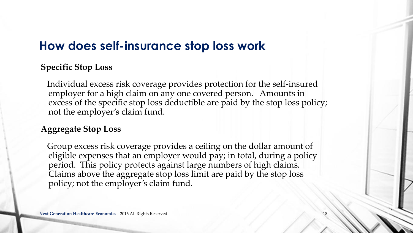### **How does self-insurance stop loss work**

#### **Specific Stop Loss**

Individual excess risk coverage provides protection for the self-insured employer for a high claim on any one covered person. Amounts in excess of the specific stop loss deductible are paid by the stop loss policy; not the employer's claim fund.

### **Aggregate Stop Loss**

Group excess risk coverage provides a ceiling on the dollar amount of eligible expenses that an employer would pay; in total, during a policy period. This policy protects against large numbers of high claims. Claims above the aggregate stop loss limit are paid by the stop loss policy; not the employer's claim fund.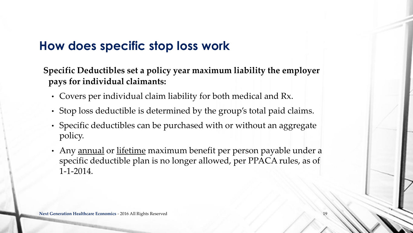### **How does specific stop loss work**

**Specific Deductibles set a policy year maximum liability the employer pays for individual claimants:**

- Covers per individual claim liability for both medical and Rx.
- Stop loss deductible is determined by the group's total paid claims.
- Specific deductibles can be purchased with or without an aggregate policy.
- Any annual or lifetime maximum benefit per person payable under a specific deductible plan is no longer allowed, per PPACA rules, as of 1-1-2014.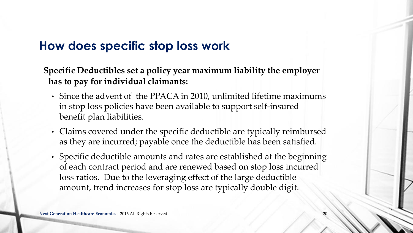### **How does specific stop loss work**

**Specific Deductibles set a policy year maximum liability the employer has to pay for individual claimants:**

- Since the advent of the PPACA in 2010, unlimited lifetime maximums in stop loss policies have been available to support self-insured benefit plan liabilities.
- Claims covered under the specific deductible are typically reimbursed as they are incurred; payable once the deductible has been satisfied.
- Specific deductible amounts and rates are established at the beginning of each contract period and are renewed based on stop loss incurred loss ratios. Due to the leveraging effect of the large deductible amount, trend increases for stop loss are typically double digit.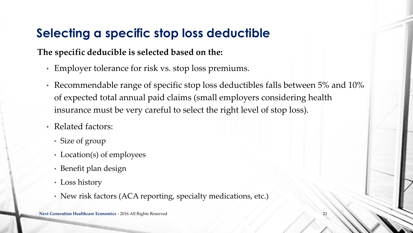### **Selecting a specific stop loss deductible**

### **The specific deducible is selected based on the:**

- Employer tolerance for risk vs. stop loss premiums.
- Recommendable range of specific stop loss deductibles falls between 5% and 10% of expected total annual paid claims (small employers considering health insurance must be very careful to select the right level of stop loss).
- Related factors:
	- Size of group
	- Location(s) of employees
	- Benefit plan design
	- Loss history
	- New risk factors (ACA reporting, specialty medications, etc.)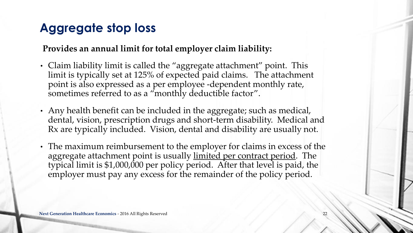### **Aggregate stop loss**

#### **Provides an annual limit for total employer claim liability:**

- Claim liability limit is called the "aggregate attachment" point. This limit is typically set at 125% of expected paid claims. The attachment point is also expressed as a per employee -dependent monthly rate, sometimes referred to as a "monthly deductible factor".
- Any health benefit can be included in the aggregate; such as medical, dental, vision, prescription drugs and short-term disability. Medical and Rx are typically included. Vision, dental and disability are usually not.
- The maximum reimbursement to the employer for claims in excess of the aggregate attachment point is usually limited per contract period. The typical limit is \$1,000,000 per policy period. After that level is paid, the employer must pay any excess for the remainder of the policy period.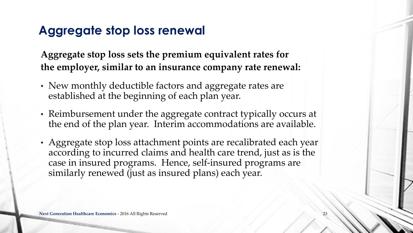### **Aggregate stop loss renewal**

**Aggregate stop loss sets the premium equivalent rates for the employer, similar to an insurance company rate renewal:** 

- New monthly deductible factors and aggregate rates are established at the beginning of each plan year.
- Reimbursement under the aggregate contract typically occurs at the end of the plan year. Interim accommodations are available.
- Aggregate stop loss attachment points are recalibrated each year according to incurred claims and health care trend, just as is the case in insured programs. Hence, self-insured programs are similarly renewed (just as insured plans) each year.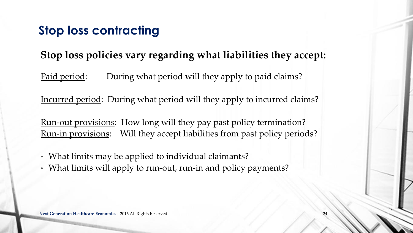### **Stop loss contracting**

### **Stop loss policies vary regarding what liabilities they accept:**

Paid period: During what period will they apply to paid claims?

Incurred period: During what period will they apply to incurred claims?

Run-out provisions: How long will they pay past policy termination? Run-in provisions: Will they accept liabilities from past policy periods?

- What limits may be applied to individual claimants?
- What limits will apply to run-out, run-in and policy payments?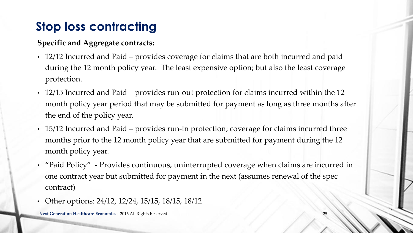## **Stop loss contracting**

#### **Specific and Aggregate contracts:**

- 12/12 Incurred and Paid provides coverage for claims that are both incurred and paid during the 12 month policy year. The least expensive option; but also the least coverage protection.
- 12/15 Incurred and Paid provides run-out protection for claims incurred within the 12 month policy year period that may be submitted for payment as long as three months after the end of the policy year.
- 15/12 Incurred and Paid provides run-in protection; coverage for claims incurred three months prior to the 12 month policy year that are submitted for payment during the 12 month policy year.
- "Paid Policy" Provides continuous, uninterrupted coverage when claims are incurred in one contract year but submitted for payment in the next (assumes renewal of the spec contract)
- Other options: 24/12, 12/24, 15/15, 18/15, 18/12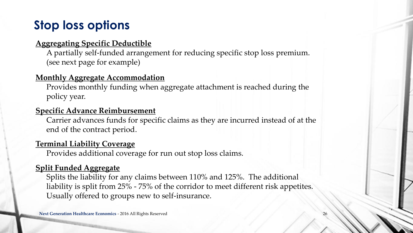### **Stop loss options**

#### **Aggregating Specific Deductible**

A partially self-funded arrangement for reducing specific stop loss premium. (see next page for example)

#### **Monthly Aggregate Accommodation**

Provides monthly funding when aggregate attachment is reached during the policy year.

#### **Specific Advance Reimbursement**

Carrier advances funds for specific claims as they are incurred instead of at the end of the contract period.

#### **Terminal Liability Coverage**

Provides additional coverage for run out stop loss claims.

#### **Split Funded Aggregate**

Splits the liability for any claims between 110% and 125%. The additional liability is split from 25% - 75% of the corridor to meet different risk appetites. Usually offered to groups new to self-insurance.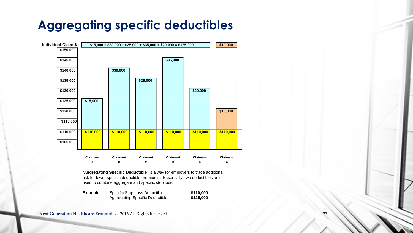### **Aggregating specific deductibles**



"**Aggregating Specific Deductible**" is a way for employers to trade additional risk for lower specific deductible premiums. Essentially, two deductibles are used to combine aggregate and specific stop loss:

| <b>Example</b> | Specific Stop Loss Deductible:   | \$110,000 |
|----------------|----------------------------------|-----------|
|                | Aggregating Specific Deductible: | \$125,000 |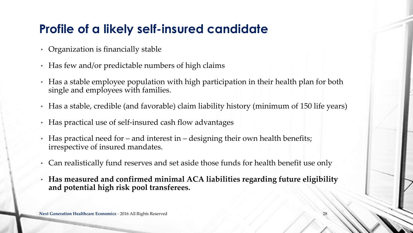### **Profile of a likely self-insured candidate**

- Organization is financially stable
- Has few and/or predictable numbers of high claims
- Has a stable employee population with high participation in their health plan for both single and employees with families.
- Has a stable, credible (and favorable) claim liability history (minimum of 150 life years)
- Has practical use of self-insured cash flow advantages
- Has practical need for and interest in designing their own health benefits; irrespective of insured mandates.
- Can realistically fund reserves and set aside those funds for health benefit use only
- **Has measured and confirmed minimal ACA liabilities regarding future eligibility and potential high risk pool transferees.**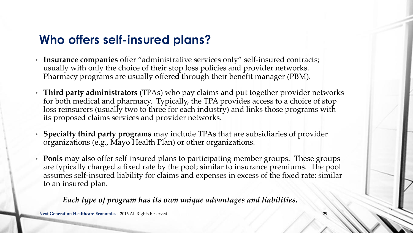### **Who offers self-insured plans?**

- **Insurance companies** offer "administrative services only" self-insured contracts; usually with only the choice of their stop loss policies and provider networks. Pharmacy programs are usually offered through their benefit manager (PBM).
- **Third party administrators** (TPAs) who pay claims and put together provider networks for both medical and pharmacy. Typically, the TPA provides access to a choice of stop loss reinsurers (usually two to three for each industry) and links those programs with its proposed claims services and provider networks.
- **Specialty third party programs** may include TPAs that are subsidiaries of provider organizations (e.g., Mayo Health Plan) or other organizations.
- **Pools** may also offer self-insured plans to participating member groups. These groups are typically charged a fixed rate by the pool; similar to insurance premiums. The pool assumes self-insured liability for claims and expenses in excess of the fixed rate; similar to an insured plan.

#### *Each type of program has its own unique advantages and liabilities.*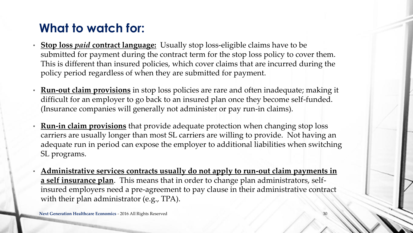- **Stop loss** *paid* **contract language:** Usually stop loss-eligible claims have to be submitted for payment during the contract term for the stop loss policy to cover them. This is different than insured policies, which cover claims that are incurred during the policy period regardless of when they are submitted for payment.
- **Run-out claim provisions** in stop loss policies are rare and often inadequate; making it difficult for an employer to go back to an insured plan once they become self-funded. (Insurance companies will generally not administer or pay run-in claims).
- **Run-in claim provisions** that provide adequate protection when changing stop loss carriers are usually longer than most SL carriers are willing to provide. Not having an adequate run in period can expose the employer to additional liabilities when switching SL programs.
- **Administrative services contracts usually do not apply to run-out claim payments in a self insurance plan**. This means that in order to change plan administrators, selfinsured employers need a pre-agreement to pay clause in their administrative contract with their plan administrator (e.g., TPA).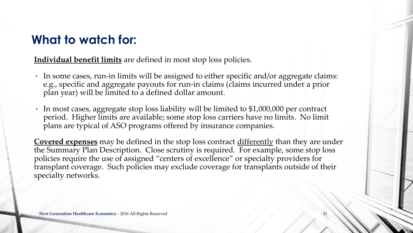#### **Individual benefit limits** are defined in most stop loss policies.

- In some cases, run-in limits will be assigned to either specific and/or aggregate claims: e.g., specific and aggregate payouts for run-in claims (claims incurred under a prior plan year) will be limited to a defined dollar amount.
- In most cases, aggregate stop loss liability will be limited to \$1,000,000 per contract period. Higher limits are available; some stop loss carriers have no limits. No limit plans are typical of ASO programs offered by insurance companies.

**Covered expenses** may be defined in the stop loss contract differently than they are under the Summary Plan Description. Close scrutiny is required. For example, some stop loss policies require the use of assigned "centers of excellence" or specialty providers for transplant coverage. Such policies may exclude coverage for transplants outside of their specialty networks.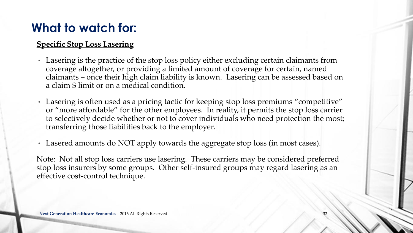#### **Specific Stop Loss Lasering**

- Lasering is the practice of the stop loss policy either excluding certain claimants from coverage altogether, or providing a limited amount of coverage for certain, named claimants – once their high claim liability is known. Lasering can be assessed based on a claim \$ limit or on a medical condition.
- Lasering is often used as a pricing tactic for keeping stop loss premiums "competitive" or "more affordable" for the other employees. In reality, it permits the stop loss carrier to selectively decide whether or not to cover individuals who need protection the most; transferring those liabilities back to the employer.
- Lasered amounts do NOT apply towards the aggregate stop loss (in most cases).

Note: Not all stop loss carriers use lasering. These carriers may be considered preferred stop loss insurers by some groups. Other self-insured groups may regard lasering as an effective cost-control technique.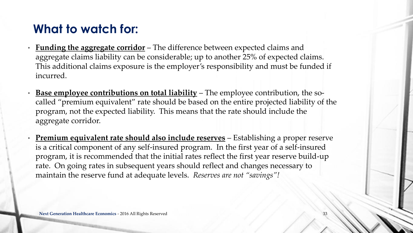- **Funding the aggregate corridor** The difference between expected claims and aggregate claims liability can be considerable; up to another 25% of expected claims. This additional claims exposure is the employer's responsibility and must be funded if incurred.
- **Base employee contributions on total liability** The employee contribution, the socalled "premium equivalent" rate should be based on the entire projected liability of the program, not the expected liability. This means that the rate should include the aggregate corridor.
- **Premium equivalent rate should also include reserves** Establishing a proper reserve is a critical component of any self-insured program. In the first year of a self-insured program, it is recommended that the initial rates reflect the first year reserve build-up rate. On going rates in subsequent years should reflect and changes necessary to maintain the reserve fund at adequate levels. *Reserves are not "savings"!*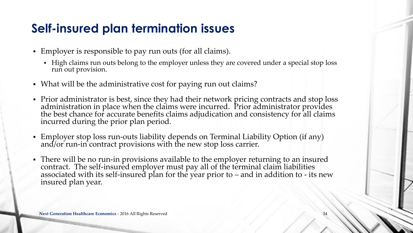### **Self-insured plan termination issues**

- Employer is responsible to pay run outs (for all claims).
	- High claims run outs belong to the employer unless they are covered under a special stop loss run out provision.
- What will be the administrative cost for paying run out claims?
- Prior administrator is best, since they had their network pricing contracts and stop loss administration in place when the claims were incurred. Prior administrator provides the best chance for accurate benefits claims adjudication and consistency for all claims incurred during the prior plan period.
- Employer stop loss run-outs liability depends on Terminal Liability Option (if any) and/or run-in contract provisions with the new stop loss carrier.
- There will be no run-in provisions available to the employer returning to an insured contract. The self-insured employer must pay all of the terminal claim liabilities associated with its self-insured plan for the year prior to – and in addition to - its new insured plan year.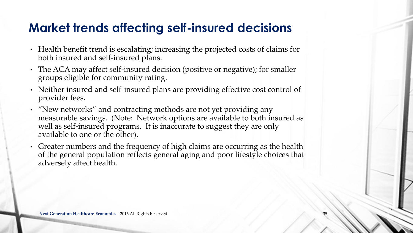### **Market trends affecting self-insured decisions**

- Health benefit trend is escalating; increasing the projected costs of claims for both insured and self-insured plans.
- The ACA may affect self-insured decision (positive or negative); for smaller groups eligible for community rating.
- Neither insured and self-insured plans are providing effective cost control of provider fees.
- "New networks" and contracting methods are not yet providing any measurable savings. (Note: Network options are available to both insured as well as self-insured programs. It is inaccurate to suggest they are only available to one or the other).
- Greater numbers and the frequency of high claims are occurring as the health of the general population reflects general aging and poor lifestyle choices that adversely affect health.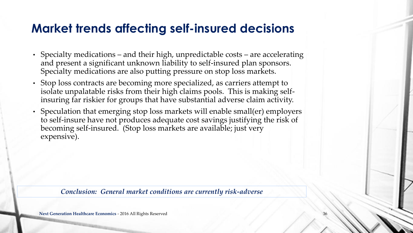### **Market trends affecting self-insured decisions**

- Specialty medications and their high, unpredictable costs are accelerating and present a significant unknown liability to self-insured plan sponsors. Specialty medications are also putting pressure on stop loss markets.
- Stop loss contracts are becoming more specialized, as carriers attempt to isolate unpalatable risks from their high claims pools. This is making selfinsuring far riskier for groups that have substantial adverse claim activity.
- Speculation that emerging stop loss markets will enable small(er) employers to self-insure have not produces adequate cost savings justifying the risk of becoming self-insured. (Stop loss markets are available; just very expensive).

*Conclusion: General market conditions are currently risk-adverse*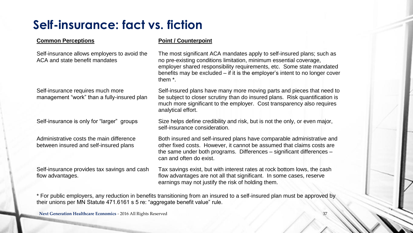### **Self-insurance: fact vs. fiction**

#### **Common Perceptions Point / Counterpoint**

Self-insurance allows employers to avoid the ACA and state benefit mandates

Self-insurance requires much more management "work" than a fully-insured plan

Administrative costs the main difference between insured and self-insured plans

Self-insurance provides tax savings and cash flow advantages.

The most significant ACA mandates apply to self-insured plans; such as no pre-existing conditions limitation, minimum essential coverage, employer shared responsibility requirements, etc. Some state mandated benefits may be excluded – if it is the employer's intent to no longer cover them \*.

Self-insured plans have many more moving parts and pieces that need to be subject to closer scrutiny than do insured plans. Risk quantification is much more significant to the employer. Cost transparency also requires analytical effort.

Self-insurance is only for "larger" groups Size helps define credibility and risk, but is not the only, or even major, self-insurance consideration.

> Both insured and self-insured plans have comparable administrative and other fixed costs. However, it cannot be assumed that claims costs are the same under both programs. Differences – significant differences – can and often do exist.

Tax savings exist, but with interest rates at rock bottom lows, the cash flow advantages are not all that significant. In some cases, reserve earnings may not justify the risk of holding them.

\* For public employers, any reduction in benefits transitioning from an insured to a self-insured plan must be approved by their unions per MN Statute 471.6161 s 5 re: "aggregate benefit value" rule.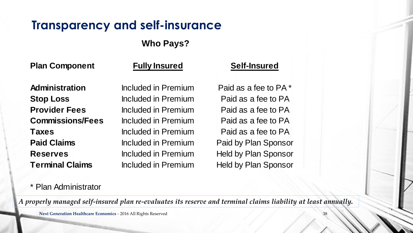### **Transparency and self-insurance**

### **Who Pays?**

**Plan Component**

#### **Fully Insured Self-Insured**

**Administration Stop Loss Provider Fees Commissions/Fees Taxes Paid Claims Reserves Terminal Claims**

\* Plan Administrator

Included in Premium Included in Premium Included in Premium Included in Premium Included in Premium Included in Premium Included in Premium

Paid as a fee to PA Paid as a fee to PA Paid as a fee to PA Paid by Plan Sponsor Held by Plan Sponsor Held by Plan Sponsor Paid as a fee to PA Included in Premium Paid as a fee to PA \*

*A properly managed self-insured plan re-evaluates its reserve and terminal claims liability at least annually.*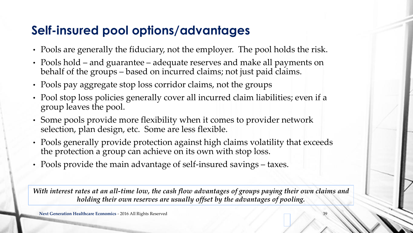### **Self-insured pool options/advantages**

- Pools are generally the fiduciary, not the employer. The pool holds the risk.
- Pools hold and guarantee adequate reserves and make all payments on behalf of the groups – based on incurred claims; not just paid claims.
- Pools pay aggregate stop loss corridor claims, not the groups
- Pool stop loss policies generally cover all incurred claim liabilities; even if a group leaves the pool.
- Some pools provide more flexibility when it comes to provider network selection, plan design, etc. Some are less flexible.
- Pools generally provide protection against high claims volatility that exceeds the protection a group can achieve on its own with stop loss.
- Pools provide the main advantage of self-insured savings taxes.

*With interest rates at an all-time low, the cash flow advantages of groups paying their own claims and holding their own reserves are usually offset by the advantages of pooling.*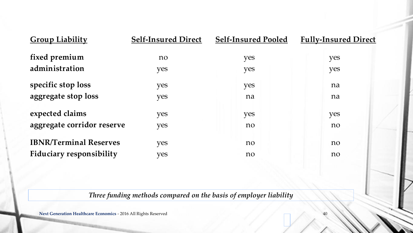| <b>Group Liability</b>          | <b>Self-Insured Direct</b> | <b>Self-Insured Pooled</b> | <b>Fully-Insured Direct</b> |
|---------------------------------|----------------------------|----------------------------|-----------------------------|
| fixed premium                   | no                         | yes                        | yes                         |
| administration                  | yes                        | yes                        | yes                         |
| specific stop loss              | yes                        | yes                        | na                          |
| aggregate stop loss             | yes                        | na                         | na                          |
| expected claims                 | yes                        | yes                        | yes                         |
| aggregate corridor reserve      | yes                        | no                         | no                          |
| <b>IBNR/Terminal Reserves</b>   | yes                        | no                         | no                          |
| <b>Fiduciary responsibility</b> | yes                        | no                         | no                          |

#### *Three funding methods compared on the basis of employer liability*

40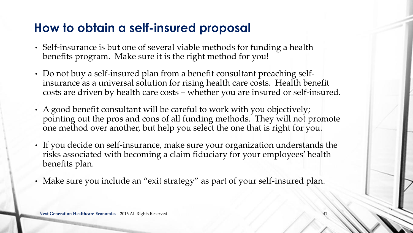### **How to obtain a self-insured proposal**

- Self-insurance is but one of several viable methods for funding a health benefits program. Make sure it is the right method for you!
- Do not buy a self-insured plan from a benefit consultant preaching selfinsurance as a universal solution for rising health care costs. Health benefit costs are driven by health care costs – whether you are insured or self-insured.
- A good benefit consultant will be careful to work with you objectively; pointing out the pros and cons of all funding methods. They will not promote one method over another, but help you select the one that is right for you.
- If you decide on self-insurance, make sure your organization understands the risks associated with becoming a claim fiduciary for your employees' health benefits plan.
- Make sure you include an "exit strategy" as part of your self-insured plan.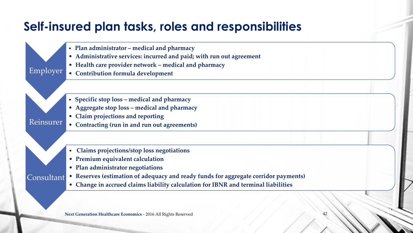### **Self-insured plan tasks, roles and responsibilities**

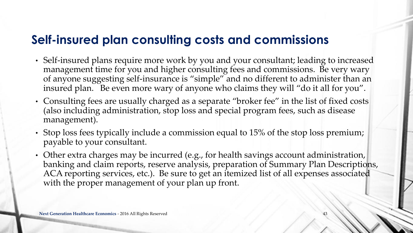### **Self-insured plan consulting costs and commissions**

- Self-insured plans require more work by you and your consultant; leading to increased management time for you and higher consulting fees and commissions. Be very wary of anyone suggesting self-insurance is "simple" and no different to administer than an insured plan. Be even more wary of anyone who claims they will "do it all for you".
- Consulting fees are usually charged as a separate "broker fee" in the list of fixed costs (also including administration, stop loss and special program fees, such as disease management).
- Stop loss fees typically include a commission equal to 15% of the stop loss premium; payable to your consultant.
- Other extra charges may be incurred (e.g., for health savings account administration, banking and claim reports, reserve analysis, preparation of Summary Plan Descriptions, ACA reporting services, etc.). Be sure to get an itemized list of all expenses associated with the proper management of your plan up front.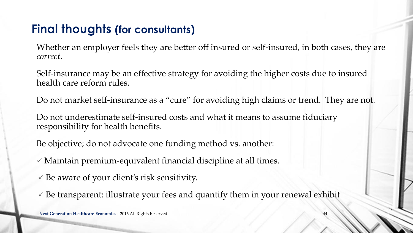### **Final thoughts (for consultants)**

Whether an employer feels they are better off insured or self-insured, in both cases, they are *correct*.

Self-insurance may be an effective strategy for avoiding the higher costs due to insured health care reform rules.

Do not market self-insurance as a "cure" for avoiding high claims or trend. They are not.

Do not underestimate self-insured costs and what it means to assume fiduciary responsibility for health benefits.

Be objective; do not advocate one funding method vs. another:

 $\checkmark$  Maintain premium-equivalent financial discipline at all times.

- $\checkmark$  Be aware of your client's risk sensitivity.
- $\checkmark$  Be transparent: illustrate your fees and quantify them in your renewal exhibit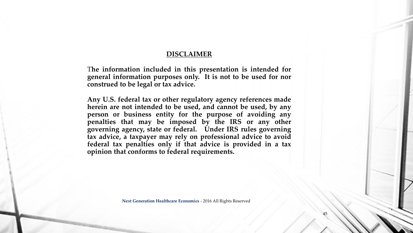#### **DISCLAIMER**

T**he information included in this presentation is intended for general information purposes only. It is not to be used for nor construed to be legal or tax advice.**

**Any U.S. federal tax or other regulatory agency references made herein are not intended to be used, and cannot be used, by any person or business entity for the purpose of avoiding any penalties that may be imposed by the IRS or any other governing agency, state or federal. Under IRS rules governing tax advice, a taxpayer may rely on professional advice to avoid federal tax penalties only if that advice is provided in a tax opinion that conforms to federal requirements.**

**Next Generation Healthcare Economics** - 2016 All Rights Reserved

45